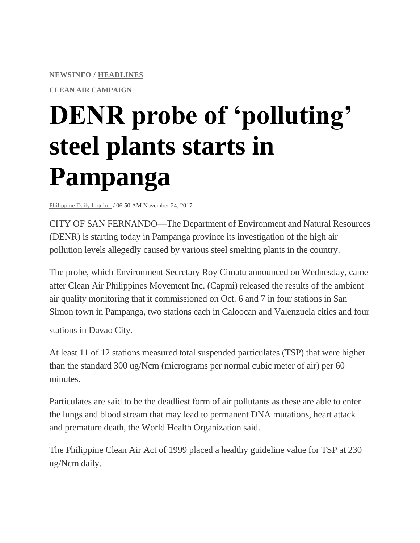**NEWSINFO / [HEADLINES](http://newsinfo.inquirer.net/category/inquirer-headlines)**

**CLEAN AIR CAMPAIGN**

## **DENR probe of 'polluting' steel plants starts in Pampanga**

[Philippine](http://newsinfo.inquirer.net/source/philippine-daily-inquirer) Daily Inquirer / 06:50 AM November 24, 2017

CITY OF SAN FERNANDO—The Department of Environment and Natural Resources (DENR) is starting today in Pampanga province its investigation of the high air pollution levels allegedly caused by various steel smelting plants in the country.

The probe, which Environment Secretary Roy Cimatu announced on Wednesday, came after Clean Air Philippines Movement Inc. (Capmi) released the results of the ambient air quality monitoring that it commissioned on Oct. 6 and 7 in four stations in San Simon town in Pampanga, two stations each in Caloocan and Valenzuela cities and four

stations in Davao City.

At least 11 of 12 stations measured total suspended particulates (TSP) that were higher than the standard 300 ug/Ncm (micrograms per normal cubic meter of air) per 60 minutes.

Particulates are said to be the deadliest form of air pollutants as these are able to enter the lungs and blood stream that may lead to permanent DNA mutations, heart attack and premature death, the World Health Organization said.

The Philippine Clean Air Act of 1999 placed a healthy guideline value for TSP at 230 ug/Ncm daily.